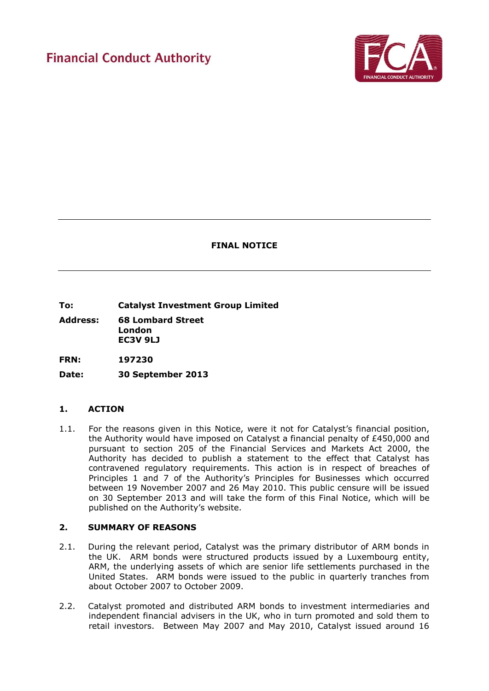# **Financial Conduct Authority**



# **FINAL NOTICE**

**To: Catalyst Investment Group Limited** 

**Address: 68 Lombard Street London EC3V 9LJ** 

**FRN: 197230**

**Date: 30 September 2013**

# **1. ACTION**

1.1. For the reasons given in this Notice, were it not for Catalyst's financial position, the Authority would have imposed on Catalyst a financial penalty of £450,000 and pursuant to section 205 of the Financial Services and Markets Act 2000, the Authority has decided to publish a statement to the effect that Catalyst has contravened regulatory requirements. This action is in respect of breaches of Principles 1 and 7 of the Authority's Principles for Businesses which occurred between 19 November 2007 and 26 May 2010. This public censure will be issued on 30 September 2013 and will take the form of this Final Notice, which will be published on the Authority's website.

## **2. SUMMARY OF REASONS**

- 2.1. During the relevant period, Catalyst was the primary distributor of ARM bonds in the UK. ARM bonds were structured products issued by a Luxembourg entity, ARM, the underlying assets of which are senior life settlements purchased in the United States. ARM bonds were issued to the public in quarterly tranches from about October 2007 to October 2009.
- 2.2. Catalyst promoted and distributed ARM bonds to investment intermediaries and independent financial advisers in the UK, who in turn promoted and sold them to retail investors. Between May 2007 and May 2010, Catalyst issued around 16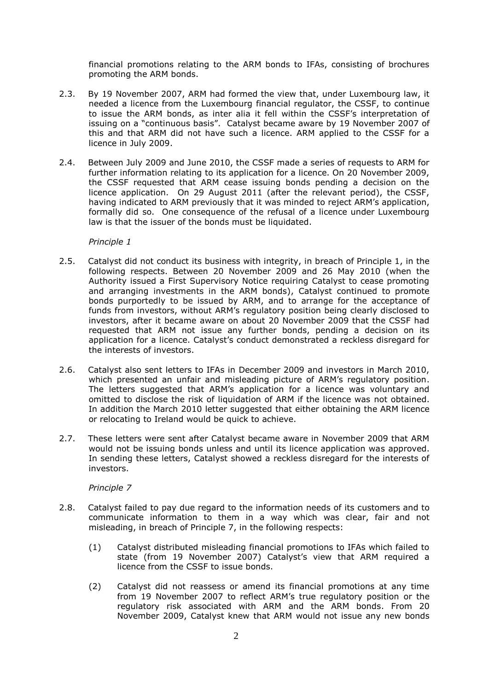financial promotions relating to the ARM bonds to IFAs, consisting of brochures promoting the ARM bonds.

- 2.3. By 19 November 2007, ARM had formed the view that, under Luxembourg law, it needed a licence from the Luxembourg financial regulator, the CSSF, to continue to issue the ARM bonds, as inter alia it fell within the CSSF's interpretation of issuing on a "continuous basis". Catalyst became aware by 19 November 2007 of this and that ARM did not have such a licence. ARM applied to the CSSF for a licence in July 2009.
- 2.4. Between July 2009 and June 2010, the CSSF made a series of requests to ARM for further information relating to its application for a licence. On 20 November 2009, the CSSF requested that ARM cease issuing bonds pending a decision on the licence application. On 29 August 2011 (after the relevant period), the CSSF, having indicated to ARM previously that it was minded to reject ARM's application, formally did so. One consequence of the refusal of a licence under Luxembourg law is that the issuer of the bonds must be liquidated.

#### *Principle 1*

- 2.5. Catalyst did not conduct its business with integrity, in breach of Principle 1, in the following respects. Between 20 November 2009 and 26 May 2010 (when the Authority issued a First Supervisory Notice requiring Catalyst to cease promoting and arranging investments in the ARM bonds), Catalyst continued to promote bonds purportedly to be issued by ARM, and to arrange for the acceptance of funds from investors, without ARM's regulatory position being clearly disclosed to investors, after it became aware on about 20 November 2009 that the CSSF had requested that ARM not issue any further bonds, pending a decision on its application for a licence. Catalyst's conduct demonstrated a reckless disregard for the interests of investors.
- 2.6. Catalyst also sent letters to IFAs in December 2009 and investors in March 2010, which presented an unfair and misleading picture of ARM's regulatory position. The letters suggested that ARM's application for a licence was voluntary and omitted to disclose the risk of liquidation of ARM if the licence was not obtained. In addition the March 2010 letter suggested that either obtaining the ARM licence or relocating to Ireland would be quick to achieve.
- 2.7. These letters were sent after Catalyst became aware in November 2009 that ARM would not be issuing bonds unless and until its licence application was approved. In sending these letters, Catalyst showed a reckless disregard for the interests of investors.

## *Principle 7*

- 2.8. Catalyst failed to pay due regard to the information needs of its customers and to communicate information to them in a way which was clear, fair and not misleading, in breach of Principle 7, in the following respects:
	- (1) Catalyst distributed misleading financial promotions to IFAs which failed to state (from 19 November 2007) Catalyst's view that ARM required a licence from the CSSF to issue bonds.
	- (2) Catalyst did not reassess or amend its financial promotions at any time from 19 November 2007 to reflect ARM's true regulatory position or the regulatory risk associated with ARM and the ARM bonds. From 20 November 2009, Catalyst knew that ARM would not issue any new bonds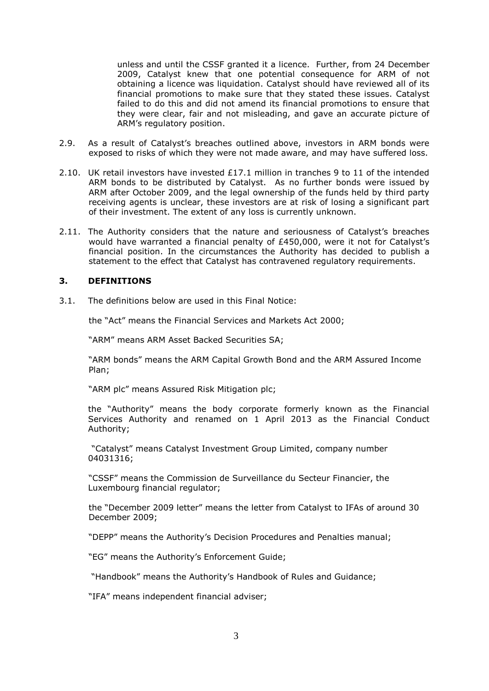unless and until the CSSF granted it a licence. Further, from 24 December 2009, Catalyst knew that one potential consequence for ARM of not obtaining a licence was liquidation. Catalyst should have reviewed all of its financial promotions to make sure that they stated these issues. Catalyst failed to do this and did not amend its financial promotions to ensure that they were clear, fair and not misleading, and gave an accurate picture of ARM's regulatory position.

- 2.9. As a result of Catalyst's breaches outlined above, investors in ARM bonds were exposed to risks of which they were not made aware, and may have suffered loss.
- 2.10. UK retail investors have invested £17.1 million in tranches 9 to 11 of the intended ARM bonds to be distributed by Catalyst. As no further bonds were issued by ARM after October 2009, and the legal ownership of the funds held by third party receiving agents is unclear, these investors are at risk of losing a significant part of their investment. The extent of any loss is currently unknown.
- 2.11. The Authority considers that the nature and seriousness of Catalyst's breaches would have warranted a financial penalty of £450,000, were it not for Catalyst's financial position. In the circumstances the Authority has decided to publish a statement to the effect that Catalyst has contravened regulatory requirements.

## **3. DEFINITIONS**

3.1. The definitions below are used in this Final Notice:

the "Act" means the Financial Services and Markets Act 2000;

"ARM" means ARM Asset Backed Securities SA;

"ARM bonds" means the ARM Capital Growth Bond and the ARM Assured Income Plan;

"ARM plc" means Assured Risk Mitigation plc;

the "Authority" means the body corporate formerly known as the Financial Services Authority and renamed on 1 April 2013 as the Financial Conduct Authority;

"Catalyst" means Catalyst Investment Group Limited, company number 04031316;

"CSSF" means the Commission de Surveillance du Secteur Financier, the Luxembourg financial regulator;

the "December 2009 letter" means the letter from Catalyst to IFAs of around 30 December 2009;

"DEPP" means the Authority's Decision Procedures and Penalties manual;

"EG" means the Authority's Enforcement Guide;

"Handbook" means the Authority's Handbook of Rules and Guidance;

"IFA" means independent financial adviser;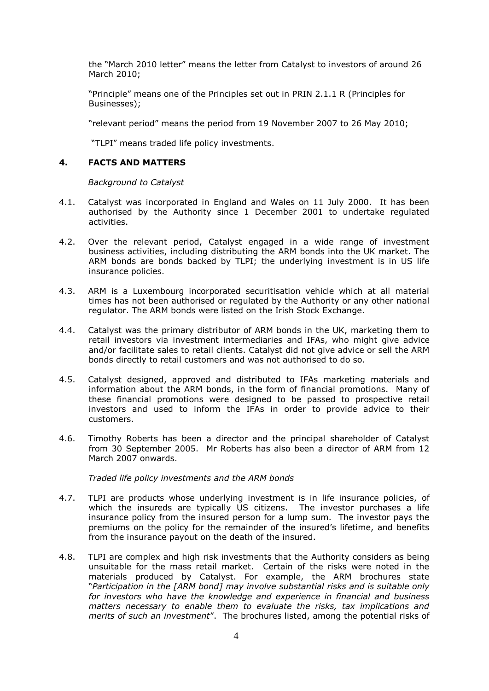the "March 2010 letter" means the letter from Catalyst to investors of around 26 March 2010;

"Principle" means one of the Principles set out in PRIN 2.1.1 R (Principles for Businesses);

"relevant period" means the period from 19 November 2007 to 26 May 2010;

"TLPI" means traded life policy investments.

#### **4. FACTS AND MATTERS**

*Background to Catalyst*

- 4.1. Catalyst was incorporated in England and Wales on 11 July 2000. It has been authorised by the Authority since 1 December 2001 to undertake regulated activities.
- 4.2. Over the relevant period, Catalyst engaged in a wide range of investment business activities, including distributing the ARM bonds into the UK market. The ARM bonds are bonds backed by TLPI; the underlying investment is in US life insurance policies.
- 4.3. ARM is a Luxembourg incorporated securitisation vehicle which at all material times has not been authorised or regulated by the Authority or any other national regulator. The ARM bonds were listed on the Irish Stock Exchange.
- 4.4. Catalyst was the primary distributor of ARM bonds in the UK, marketing them to retail investors via investment intermediaries and IFAs, who might give advice and/or facilitate sales to retail clients. Catalyst did not give advice or sell the ARM bonds directly to retail customers and was not authorised to do so.
- 4.5. Catalyst designed, approved and distributed to IFAs marketing materials and information about the ARM bonds, in the form of financial promotions. Many of these financial promotions were designed to be passed to prospective retail investors and used to inform the IFAs in order to provide advice to their customers.
- 4.6. Timothy Roberts has been a director and the principal shareholder of Catalyst from 30 September 2005. Mr Roberts has also been a director of ARM from 12 March 2007 onwards.

*Traded life policy investments and the ARM bonds*

- 4.7. TLPI are products whose underlying investment is in life insurance policies, of which the insureds are typically US citizens. The investor purchases a life insurance policy from the insured person for a lump sum. The investor pays the premiums on the policy for the remainder of the insured's lifetime, and benefits from the insurance payout on the death of the insured.
- 4.8. TLPI are complex and high risk investments that the Authority considers as being unsuitable for the mass retail market. Certain of the risks were noted in the materials produced by Catalyst. For example, the ARM brochures state "*Participation in the [ARM bond] may involve substantial risks and is suitable only for investors who have the knowledge and experience in financial and business matters necessary to enable them to evaluate the risks, tax implications and merits of such an investment*". The brochures listed, among the potential risks of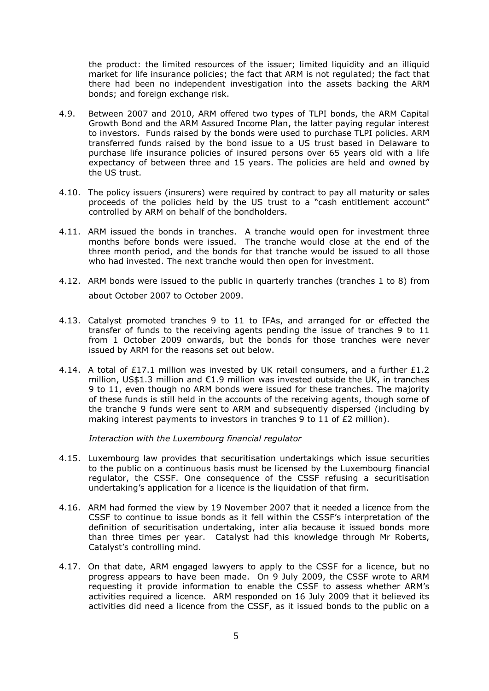the product: the limited resources of the issuer; limited liquidity and an illiquid market for life insurance policies; the fact that ARM is not regulated; the fact that there had been no independent investigation into the assets backing the ARM bonds; and foreign exchange risk.

- 4.9. Between 2007 and 2010, ARM offered two types of TLPI bonds, the ARM Capital Growth Bond and the ARM Assured Income Plan, the latter paying regular interest to investors. Funds raised by the bonds were used to purchase TLPI policies. ARM transferred funds raised by the bond issue to a US trust based in Delaware to purchase life insurance policies of insured persons over 65 years old with a life expectancy of between three and 15 years. The policies are held and owned by the US trust.
- 4.10. The policy issuers (insurers) were required by contract to pay all maturity or sales proceeds of the policies held by the US trust to a "cash entitlement account" controlled by ARM on behalf of the bondholders.
- 4.11. ARM issued the bonds in tranches. A tranche would open for investment three months before bonds were issued. The tranche would close at the end of the three month period, and the bonds for that tranche would be issued to all those who had invested. The next tranche would then open for investment.
- 4.12. ARM bonds were issued to the public in quarterly tranches (tranches 1 to 8) from about October 2007 to October 2009.
- 4.13. Catalyst promoted tranches 9 to 11 to IFAs, and arranged for or effected the transfer of funds to the receiving agents pending the issue of tranches 9 to 11 from 1 October 2009 onwards, but the bonds for those tranches were never issued by ARM for the reasons set out below.
- 4.14. A total of £17.1 million was invested by UK retail consumers, and a further £1.2 million, US\$1.3 million and  $\epsilon$ 1.9 million was invested outside the UK, in tranches 9 to 11, even though no ARM bonds were issued for these tranches. The majority of these funds is still held in the accounts of the receiving agents, though some of the tranche 9 funds were sent to ARM and subsequently dispersed (including by making interest payments to investors in tranches 9 to 11 of £2 million).

*Interaction with the Luxembourg financial regulator*

- 4.15. Luxembourg law provides that securitisation undertakings which issue securities to the public on a continuous basis must be licensed by the Luxembourg financial regulator, the CSSF. One consequence of the CSSF refusing a securitisation undertaking's application for a licence is the liquidation of that firm.
- 4.16. ARM had formed the view by 19 November 2007 that it needed a licence from the CSSF to continue to issue bonds as it fell within the CSSF's interpretation of the definition of securitisation undertaking, inter alia because it issued bonds more than three times per year. Catalyst had this knowledge through Mr Roberts, Catalyst's controlling mind.
- 4.17. On that date, ARM engaged lawyers to apply to the CSSF for a licence, but no progress appears to have been made. On 9 July 2009, the CSSF wrote to ARM requesting it provide information to enable the CSSF to assess whether ARM's activities required a licence. ARM responded on 16 July 2009 that it believed its activities did need a licence from the CSSF, as it issued bonds to the public on a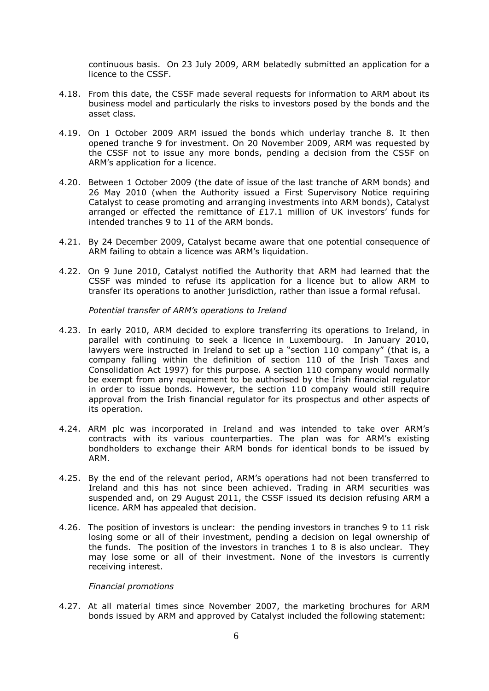continuous basis. On 23 July 2009, ARM belatedly submitted an application for a licence to the CSSF.

- 4.18. From this date, the CSSF made several requests for information to ARM about its business model and particularly the risks to investors posed by the bonds and the asset class.
- 4.19. On 1 October 2009 ARM issued the bonds which underlay tranche 8. It then opened tranche 9 for investment. On 20 November 2009, ARM was requested by the CSSF not to issue any more bonds, pending a decision from the CSSF on ARM's application for a licence.
- 4.20. Between 1 October 2009 (the date of issue of the last tranche of ARM bonds) and 26 May 2010 (when the Authority issued a First Supervisory Notice requiring Catalyst to cease promoting and arranging investments into ARM bonds), Catalyst arranged or effected the remittance of £17.1 million of UK investors' funds for intended tranches 9 to 11 of the ARM bonds.
- 4.21. By 24 December 2009, Catalyst became aware that one potential consequence of ARM failing to obtain a licence was ARM's liquidation.
- 4.22. On 9 June 2010, Catalyst notified the Authority that ARM had learned that the CSSF was minded to refuse its application for a licence but to allow ARM to transfer its operations to another jurisdiction, rather than issue a formal refusal.

*Potential transfer of ARM's operations to Ireland*

- 4.23. In early 2010, ARM decided to explore transferring its operations to Ireland, in parallel with continuing to seek a licence in Luxembourg. In January 2010, lawyers were instructed in Ireland to set up a "section 110 company" (that is, a company falling within the definition of section 110 of the Irish Taxes and Consolidation Act 1997) for this purpose. A section 110 company would normally be exempt from any requirement to be authorised by the Irish financial regulator in order to issue bonds. However, the section 110 company would still require approval from the Irish financial regulator for its prospectus and other aspects of its operation.
- 4.24. ARM plc was incorporated in Ireland and was intended to take over ARM's contracts with its various counterparties. The plan was for ARM's existing bondholders to exchange their ARM bonds for identical bonds to be issued by ARM.
- 4.25. By the end of the relevant period, ARM's operations had not been transferred to Ireland and this has not since been achieved. Trading in ARM securities was suspended and, on 29 August 2011, the CSSF issued its decision refusing ARM a licence. ARM has appealed that decision.
- 4.26. The position of investors is unclear: the pending investors in tranches 9 to 11 risk losing some or all of their investment, pending a decision on legal ownership of the funds. The position of the investors in tranches 1 to 8 is also unclear. They may lose some or all of their investment. None of the investors is currently receiving interest.

## *Financial promotions*

4.27. At all material times since November 2007, the marketing brochures for ARM bonds issued by ARM and approved by Catalyst included the following statement: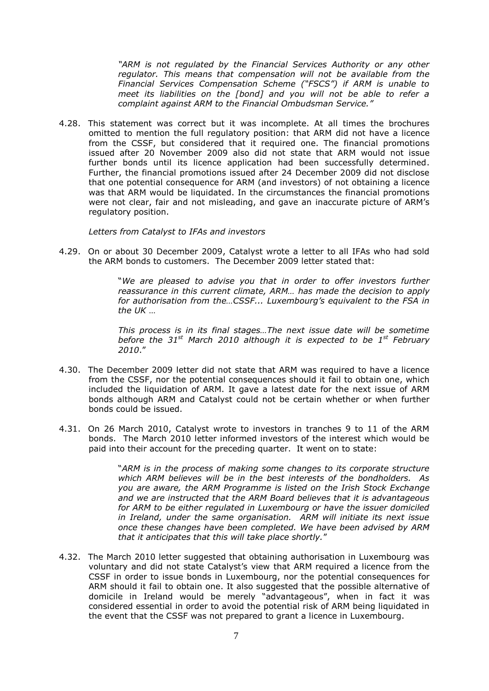*"ARM is not regulated by the Financial Services Authority or any other regulator. This means that compensation will not be available from the Financial Services Compensation Scheme ("FSCS") if ARM is unable to meet its liabilities on the [bond] and you will not be able to refer a complaint against ARM to the Financial Ombudsman Service."*

4.28. This statement was correct but it was incomplete. At all times the brochures omitted to mention the full regulatory position: that ARM did not have a licence from the CSSF, but considered that it required one. The financial promotions issued after 20 November 2009 also did not state that ARM would not issue further bonds until its licence application had been successfully determined. Further, the financial promotions issued after 24 December 2009 did not disclose that one potential consequence for ARM (and investors) of not obtaining a licence was that ARM would be liquidated. In the circumstances the financial promotions were not clear, fair and not misleading, and gave an inaccurate picture of ARM's regulatory position.

*Letters from Catalyst to IFAs and investors*

4.29. On or about 30 December 2009, Catalyst wrote a letter to all IFAs who had sold the ARM bonds to customers. The December 2009 letter stated that:

> "*We are pleased to advise you that in order to offer investors further reassurance in this current climate, ARM... has made the decision to apply for authorisation from the…CSSF... Luxembourg's equivalent to the FSA in the UK* …

> *This process is in its final stages…The next issue date will be sometime before the 31st March 2010 although it is expected to be 1st February 2010*."

- 4.30. The December 2009 letter did not state that ARM was required to have a licence from the CSSF, nor the potential consequences should it fail to obtain one, which included the liquidation of ARM. It gave a latest date for the next issue of ARM bonds although ARM and Catalyst could not be certain whether or when further bonds could be issued.
- 4.31. On 26 March 2010, Catalyst wrote to investors in tranches 9 to 11 of the ARM bonds. The March 2010 letter informed investors of the interest which would be paid into their account for the preceding quarter. It went on to state:

"*ARM is in the process of making some changes to its corporate structure which ARM believes will be in the best interests of the bondholders. As you are aware, the ARM Programme is listed on the Irish Stock Exchange and we are instructed that the ARM Board believes that it is advantageous for ARM to be either regulated in Luxembourg or have the issuer domiciled in Ireland, under the same organisation. ARM will initiate its next issue once these changes have been completed. We have been advised by ARM that it anticipates that this will take place shortly.*"

4.32. The March 2010 letter suggested that obtaining authorisation in Luxembourg was voluntary and did not state Catalyst's view that ARM required a licence from the CSSF in order to issue bonds in Luxembourg, nor the potential consequences for ARM should it fail to obtain one. It also suggested that the possible alternative of domicile in Ireland would be merely "advantageous", when in fact it was considered essential in order to avoid the potential risk of ARM being liquidated in the event that the CSSF was not prepared to grant a licence in Luxembourg.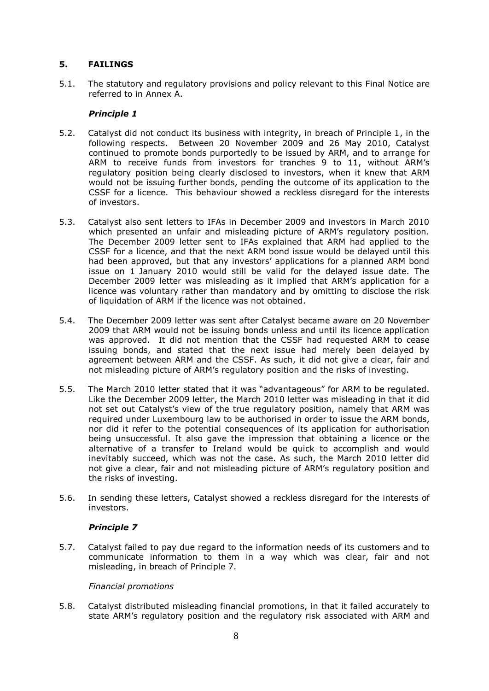## **5. FAILINGS**

5.1. The statutory and regulatory provisions and policy relevant to this Final Notice are referred to in Annex A.

## *Principle 1*

- 5.2. Catalyst did not conduct its business with integrity, in breach of Principle 1, in the following respects. Between 20 November 2009 and 26 May 2010, Catalyst continued to promote bonds purportedly to be issued by ARM, and to arrange for ARM to receive funds from investors for tranches 9 to 11, without ARM's regulatory position being clearly disclosed to investors, when it knew that ARM would not be issuing further bonds, pending the outcome of its application to the CSSF for a licence. This behaviour showed a reckless disregard for the interests of investors.
- 5.3. Catalyst also sent letters to IFAs in December 2009 and investors in March 2010 which presented an unfair and misleading picture of ARM's regulatory position. The December 2009 letter sent to IFAs explained that ARM had applied to the CSSF for a licence, and that the next ARM bond issue would be delayed until this had been approved, but that any investors' applications for a planned ARM bond issue on 1 January 2010 would still be valid for the delayed issue date. The December 2009 letter was misleading as it implied that ARM's application for a licence was voluntary rather than mandatory and by omitting to disclose the risk of liquidation of ARM if the licence was not obtained.
- 5.4. The December 2009 letter was sent after Catalyst became aware on 20 November 2009 that ARM would not be issuing bonds unless and until its licence application was approved. It did not mention that the CSSF had requested ARM to cease issuing bonds, and stated that the next issue had merely been delayed by agreement between ARM and the CSSF. As such, it did not give a clear, fair and not misleading picture of ARM's regulatory position and the risks of investing.
- 5.5. The March 2010 letter stated that it was "advantageous" for ARM to be regulated. Like the December 2009 letter, the March 2010 letter was misleading in that it did not set out Catalyst's view of the true regulatory position, namely that ARM was required under Luxembourg law to be authorised in order to issue the ARM bonds, nor did it refer to the potential consequences of its application for authorisation being unsuccessful. It also gave the impression that obtaining a licence or the alternative of a transfer to Ireland would be quick to accomplish and would inevitably succeed, which was not the case. As such, the March 2010 letter did not give a clear, fair and not misleading picture of ARM's regulatory position and the risks of investing.
- 5.6. In sending these letters, Catalyst showed a reckless disregard for the interests of investors.

# *Principle 7*

5.7. Catalyst failed to pay due regard to the information needs of its customers and to communicate information to them in a way which was clear, fair and not misleading, in breach of Principle 7.

## *Financial promotions*

5.8. Catalyst distributed misleading financial promotions, in that it failed accurately to state ARM's regulatory position and the regulatory risk associated with ARM and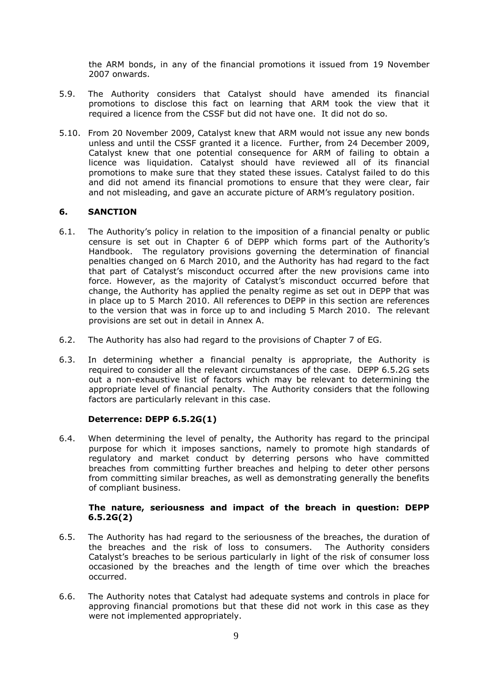the ARM bonds, in any of the financial promotions it issued from 19 November 2007 onwards.

- 5.9. The Authority considers that Catalyst should have amended its financial promotions to disclose this fact on learning that ARM took the view that it required a licence from the CSSF but did not have one. It did not do so.
- 5.10. From 20 November 2009, Catalyst knew that ARM would not issue any new bonds unless and until the CSSF granted it a licence. Further, from 24 December 2009, Catalyst knew that one potential consequence for ARM of failing to obtain a licence was liquidation. Catalyst should have reviewed all of its financial promotions to make sure that they stated these issues. Catalyst failed to do this and did not amend its financial promotions to ensure that they were clear, fair and not misleading, and gave an accurate picture of ARM's regulatory position.

## **6. SANCTION**

- 6.1. The Authority's policy in relation to the imposition of a financial penalty or public censure is set out in Chapter 6 of DEPP which forms part of the Authority's Handbook. The regulatory provisions governing the determination of financial penalties changed on 6 March 2010, and the Authority has had regard to the fact that part of Catalyst's misconduct occurred after the new provisions came into force. However, as the majority of Catalyst's misconduct occurred before that change, the Authority has applied the penalty regime as set out in DEPP that was in place up to 5 March 2010. All references to DEPP in this section are references to the version that was in force up to and including 5 March 2010. The relevant provisions are set out in detail in Annex A.
- 6.2. The Authority has also had regard to the provisions of Chapter 7 of EG.
- 6.3. In determining whether a financial penalty is appropriate, the Authority is required to consider all the relevant circumstances of the case. DEPP 6.5.2G sets out a non-exhaustive list of factors which may be relevant to determining the appropriate level of financial penalty. The Authority considers that the following factors are particularly relevant in this case.

## **Deterrence: DEPP 6.5.2G(1)**

6.4. When determining the level of penalty, the Authority has regard to the principal purpose for which it imposes sanctions, namely to promote high standards of regulatory and market conduct by deterring persons who have committed breaches from committing further breaches and helping to deter other persons from committing similar breaches, as well as demonstrating generally the benefits of compliant business.

## **The nature, seriousness and impact of the breach in question: DEPP 6.5.2G(2)**

- 6.5. The Authority has had regard to the seriousness of the breaches, the duration of the breaches and the risk of loss to consumers. The Authority considers Catalyst's breaches to be serious particularly in light of the risk of consumer loss occasioned by the breaches and the length of time over which the breaches occurred.
- 6.6. The Authority notes that Catalyst had adequate systems and controls in place for approving financial promotions but that these did not work in this case as they were not implemented appropriately.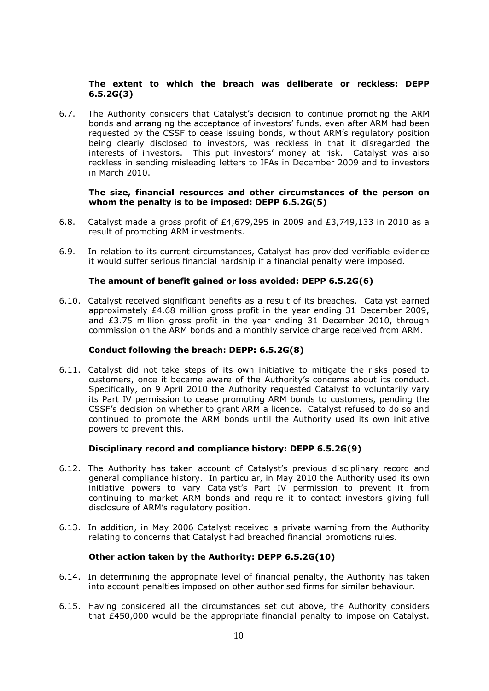## **The extent to which the breach was deliberate or reckless: DEPP 6.5.2G(3)**

6.7. The Authority considers that Catalyst's decision to continue promoting the ARM bonds and arranging the acceptance of investors' funds, even after ARM had been requested by the CSSF to cease issuing bonds, without ARM's regulatory position being clearly disclosed to investors, was reckless in that it disregarded the interests of investors. This put investors' money at risk. Catalyst was also reckless in sending misleading letters to IFAs in December 2009 and to investors in March 2010.

#### **The size, financial resources and other circumstances of the person on whom the penalty is to be imposed: DEPP 6.5.2G(5)**

- 6.8. Catalyst made a gross profit of £4,679,295 in 2009 and £3,749,133 in 2010 as a result of promoting ARM investments.
- 6.9. In relation to its current circumstances, Catalyst has provided verifiable evidence it would suffer serious financial hardship if a financial penalty were imposed.

## **The amount of benefit gained or loss avoided: DEPP 6.5.2G(6)**

6.10. Catalyst received significant benefits as a result of its breaches. Catalyst earned approximately £4.68 million gross profit in the year ending 31 December 2009, and £3.75 million gross profit in the year ending 31 December 2010, through commission on the ARM bonds and a monthly service charge received from ARM.

#### **Conduct following the breach: DEPP: 6.5.2G(8)**

6.11. Catalyst did not take steps of its own initiative to mitigate the risks posed to customers, once it became aware of the Authority's concerns about its conduct. Specifically, on 9 April 2010 the Authority requested Catalyst to voluntarily vary its Part IV permission to cease promoting ARM bonds to customers, pending the CSSF's decision on whether to grant ARM a licence. Catalyst refused to do so and continued to promote the ARM bonds until the Authority used its own initiative powers to prevent this.

## **Disciplinary record and compliance history: DEPP 6.5.2G(9)**

- 6.12. The Authority has taken account of Catalyst's previous disciplinary record and general compliance history. In particular, in May 2010 the Authority used its own initiative powers to vary Catalyst's Part IV permission to prevent it from continuing to market ARM bonds and require it to contact investors giving full disclosure of ARM's regulatory position.
- 6.13. In addition, in May 2006 Catalyst received a private warning from the Authority relating to concerns that Catalyst had breached financial promotions rules.

## **Other action taken by the Authority: DEPP 6.5.2G(10)**

- 6.14. In determining the appropriate level of financial penalty, the Authority has taken into account penalties imposed on other authorised firms for similar behaviour.
- 6.15. Having considered all the circumstances set out above, the Authority considers that £450,000 would be the appropriate financial penalty to impose on Catalyst.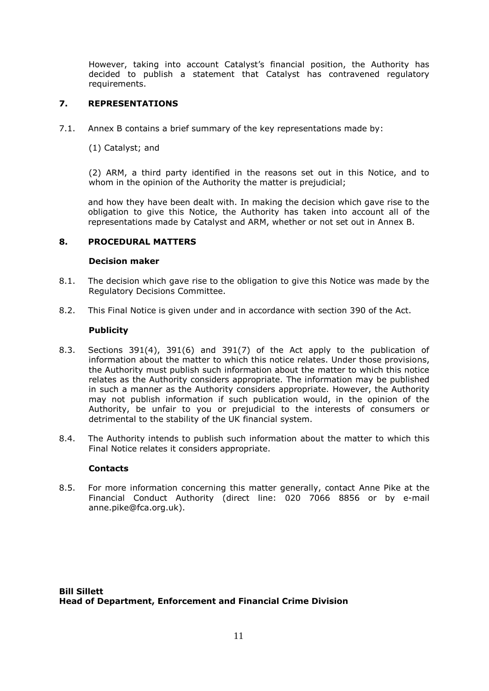However, taking into account Catalyst's financial position, the Authority has decided to publish a statement that Catalyst has contravened regulatory requirements.

# **7. REPRESENTATIONS**

- 7.1. Annex B contains a brief summary of the key representations made by:
	- (1) Catalyst; and

(2) ARM, a third party identified in the reasons set out in this Notice, and to whom in the opinion of the Authority the matter is prejudicial;

and how they have been dealt with. In making the decision which gave rise to the obligation to give this Notice, the Authority has taken into account all of the representations made by Catalyst and ARM, whether or not set out in Annex B.

## **8. PROCEDURAL MATTERS**

## **Decision maker**

- 8.1. The decision which gave rise to the obligation to give this Notice was made by the Regulatory Decisions Committee.
- 8.2. This Final Notice is given under and in accordance with section 390 of the Act.

## **Publicity**

- 8.3. Sections 391(4), 391(6) and 391(7) of the Act apply to the publication of information about the matter to which this notice relates. Under those provisions, the Authority must publish such information about the matter to which this notice relates as the Authority considers appropriate. The information may be published in such a manner as the Authority considers appropriate. However, the Authority may not publish information if such publication would, in the opinion of the Authority, be unfair to you or prejudicial to the interests of consumers or detrimental to the stability of the UK financial system.
- 8.4. The Authority intends to publish such information about the matter to which this Final Notice relates it considers appropriate.

## **Contacts**

8.5. For more information concerning this matter generally, contact Anne Pike at the Financial Conduct Authority (direct line: 020 7066 8856 or by e-mail anne.pike@fca.org.uk).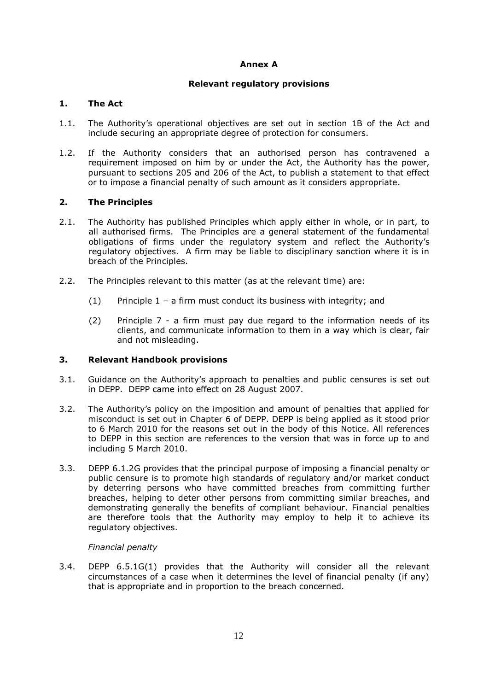## **Annex A**

## **Relevant regulatory provisions**

## **1. The Act**

- 1.1. The Authority's operational objectives are set out in section 1B of the Act and include securing an appropriate degree of protection for consumers.
- 1.2. If the Authority considers that an authorised person has contravened a requirement imposed on him by or under the Act, the Authority has the power, pursuant to sections 205 and 206 of the Act, to publish a statement to that effect or to impose a financial penalty of such amount as it considers appropriate.

## **2. The Principles**

- 2.1. The Authority has published Principles which apply either in whole, or in part, to all authorised firms. The Principles are a general statement of the fundamental obligations of firms under the regulatory system and reflect the Authority's regulatory objectives. A firm may be liable to disciplinary sanction where it is in breach of the Principles.
- 2.2. The Principles relevant to this matter (as at the relevant time) are:
	- (1) Principle  $1 a$  firm must conduct its business with integrity; and
	- (2) Principle 7 a firm must pay due regard to the information needs of its clients, and communicate information to them in a way which is clear, fair and not misleading.

## **3. Relevant Handbook provisions**

- 3.1. Guidance on the Authority's approach to penalties and public censures is set out in DEPP. DEPP came into effect on 28 August 2007.
- 3.2. The Authority's policy on the imposition and amount of penalties that applied for misconduct is set out in Chapter 6 of DEPP. DEPP is being applied as it stood prior to 6 March 2010 for the reasons set out in the body of this Notice. All references to DEPP in this section are references to the version that was in force up to and including 5 March 2010.
- 3.3. DEPP 6.1.2G provides that the principal purpose of imposing a financial penalty or public censure is to promote high standards of regulatory and/or market conduct by deterring persons who have committed breaches from committing further breaches, helping to deter other persons from committing similar breaches, and demonstrating generally the benefits of compliant behaviour. Financial penalties are therefore tools that the Authority may employ to help it to achieve its regulatory objectives.

## *Financial penalty*

3.4. DEPP 6.5.1G(1) provides that the Authority will consider all the relevant circumstances of a case when it determines the level of financial penalty (if any) that is appropriate and in proportion to the breach concerned.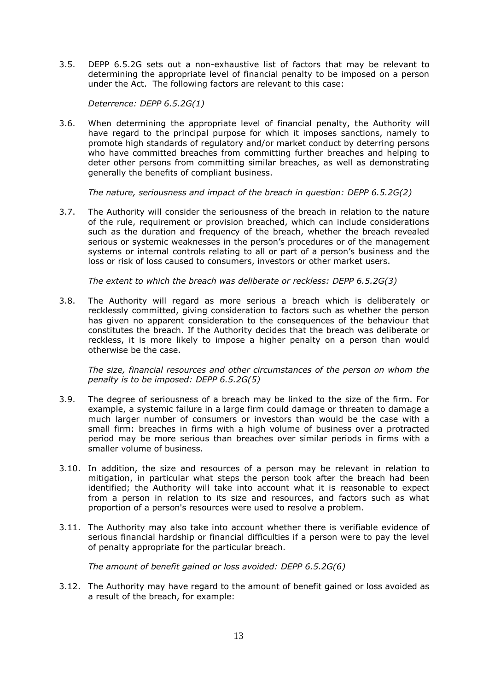3.5. DEPP 6.5.2G sets out a non-exhaustive list of factors that may be relevant to determining the appropriate level of financial penalty to be imposed on a person under the Act. The following factors are relevant to this case:

*Deterrence: DEPP 6.5.2G(1)*

3.6. When determining the appropriate level of financial penalty, the Authority will have regard to the principal purpose for which it imposes sanctions, namely to promote high standards of regulatory and/or market conduct by deterring persons who have committed breaches from committing further breaches and helping to deter other persons from committing similar breaches, as well as demonstrating generally the benefits of compliant business.

*The nature, seriousness and impact of the breach in question: DEPP 6.5.2G(2)*

3.7. The Authority will consider the seriousness of the breach in relation to the nature of the rule, requirement or provision breached, which can include considerations such as the duration and frequency of the breach, whether the breach revealed serious or systemic weaknesses in the person's procedures or of the management systems or internal controls relating to all or part of a person's business and the loss or risk of loss caused to consumers, investors or other market users.

*The extent to which the breach was deliberate or reckless: DEPP 6.5.2G(3)*

3.8. The Authority will regard as more serious a breach which is deliberately or recklessly committed, giving consideration to factors such as whether the person has given no apparent consideration to the consequences of the behaviour that constitutes the breach. If the Authority decides that the breach was deliberate or reckless, it is more likely to impose a higher penalty on a person than would otherwise be the case.

*The size, financial resources and other circumstances of the person on whom the penalty is to be imposed: DEPP 6.5.2G(5)*

- 3.9. The degree of seriousness of a breach may be linked to the size of the firm. For example, a systemic failure in a large firm could damage or threaten to damage a much larger number of consumers or investors than would be the case with a small firm: breaches in firms with a high volume of business over a protracted period may be more serious than breaches over similar periods in firms with a smaller volume of business.
- 3.10. In addition, the size and resources of a person may be relevant in relation to mitigation, in particular what steps the person took after the breach had been identified; the Authority will take into account what it is reasonable to expect from a person in relation to its size and resources, and factors such as what proportion of a person's resources were used to resolve a problem.
- 3.11. The Authority may also take into account whether there is verifiable evidence of serious financial hardship or financial difficulties if a person were to pay the level of penalty appropriate for the particular breach.

*The amount of benefit gained or loss avoided: DEPP 6.5.2G(6)*

3.12. The Authority may have regard to the amount of benefit gained or loss avoided as a result of the breach, for example: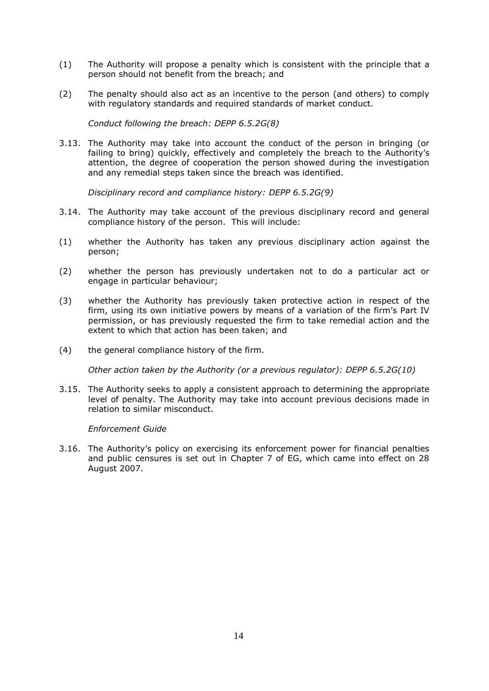- (1) The Authority will propose a penalty which is consistent with the principle that a person should not benefit from the breach; and
- (2) The penalty should also act as an incentive to the person (and others) to comply with regulatory standards and required standards of market conduct.

*Conduct following the breach: DEPP 6.5.2G(8)*

3.13. The Authority may take into account the conduct of the person in bringing (or failing to bring) quickly, effectively and completely the breach to the Authority's attention, the degree of cooperation the person showed during the investigation and any remedial steps taken since the breach was identified.

*Disciplinary record and compliance history: DEPP 6.5.2G(9)*

- 3.14. The Authority may take account of the previous disciplinary record and general compliance history of the person. This will include:
- (1) whether the Authority has taken any previous disciplinary action against the person;
- (2) whether the person has previously undertaken not to do a particular act or engage in particular behaviour;
- (3) whether the Authority has previously taken protective action in respect of the firm, using its own initiative powers by means of a variation of the firm's Part IV permission, or has previously requested the firm to take remedial action and the extent to which that action has been taken; and
- (4) the general compliance history of the firm.

*Other action taken by the Authority (or a previous regulator): DEPP 6.5.2G(10)*

3.15. The Authority seeks to apply a consistent approach to determining the appropriate level of penalty. The Authority may take into account previous decisions made in relation to similar misconduct.

#### *Enforcement Guide*

3.16. The Authority's policy on exercising its enforcement power for financial penalties and public censures is set out in Chapter 7 of EG, which came into effect on 28 August 2007.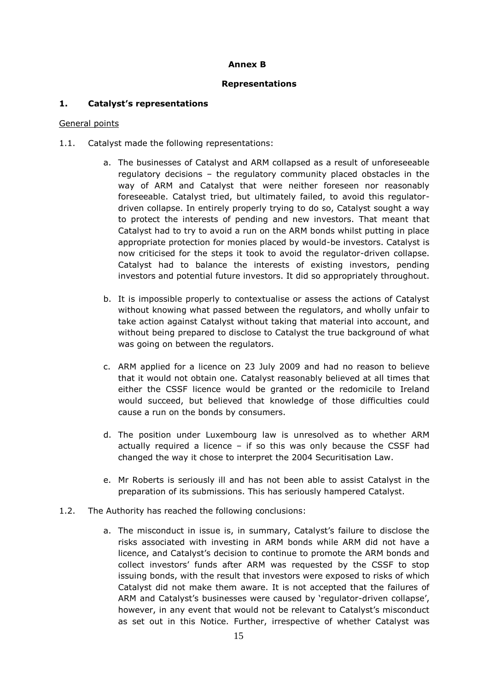## **Annex B**

## **Representations**

# **1. Catalyst's representations**

## General points

- 1.1. Catalyst made the following representations:
	- a. The businesses of Catalyst and ARM collapsed as a result of unforeseeable regulatory decisions – the regulatory community placed obstacles in the way of ARM and Catalyst that were neither foreseen nor reasonably foreseeable. Catalyst tried, but ultimately failed, to avoid this regulatordriven collapse. In entirely properly trying to do so, Catalyst sought a way to protect the interests of pending and new investors. That meant that Catalyst had to try to avoid a run on the ARM bonds whilst putting in place appropriate protection for monies placed by would-be investors. Catalyst is now criticised for the steps it took to avoid the regulator-driven collapse. Catalyst had to balance the interests of existing investors, pending investors and potential future investors. It did so appropriately throughout.
	- b. It is impossible properly to contextualise or assess the actions of Catalyst without knowing what passed between the regulators, and wholly unfair to take action against Catalyst without taking that material into account, and without being prepared to disclose to Catalyst the true background of what was going on between the regulators.
	- c. ARM applied for a licence on 23 July 2009 and had no reason to believe that it would not obtain one. Catalyst reasonably believed at all times that either the CSSF licence would be granted or the redomicile to Ireland would succeed, but believed that knowledge of those difficulties could cause a run on the bonds by consumers.
	- d. The position under Luxembourg law is unresolved as to whether ARM actually required a licence – if so this was only because the CSSF had changed the way it chose to interpret the 2004 Securitisation Law.
	- e. Mr Roberts is seriously ill and has not been able to assist Catalyst in the preparation of its submissions. This has seriously hampered Catalyst.
- 1.2. The Authority has reached the following conclusions:
	- a. The misconduct in issue is, in summary, Catalyst's failure to disclose the risks associated with investing in ARM bonds while ARM did not have a licence, and Catalyst's decision to continue to promote the ARM bonds and collect investors' funds after ARM was requested by the CSSF to stop issuing bonds, with the result that investors were exposed to risks of which Catalyst did not make them aware. It is not accepted that the failures of ARM and Catalyst's businesses were caused by 'regulator-driven collapse', however, in any event that would not be relevant to Catalyst's misconduct as set out in this Notice. Further, irrespective of whether Catalyst was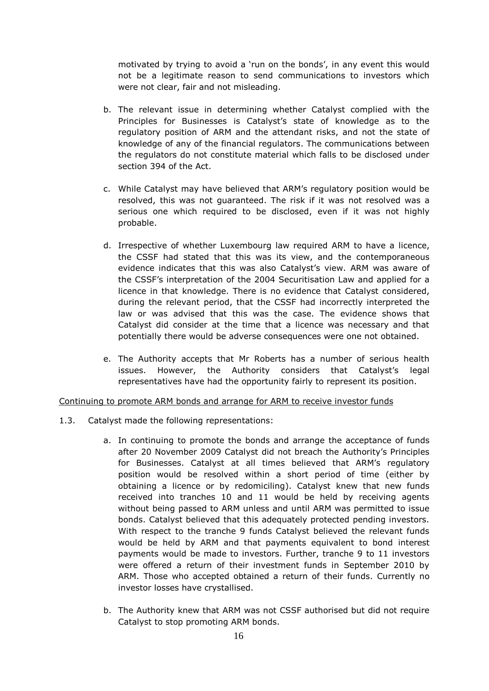motivated by trying to avoid a 'run on the bonds', in any event this would not be a legitimate reason to send communications to investors which were not clear, fair and not misleading.

- b. The relevant issue in determining whether Catalyst complied with the Principles for Businesses is Catalyst's state of knowledge as to the regulatory position of ARM and the attendant risks, and not the state of knowledge of any of the financial regulators. The communications between the regulators do not constitute material which falls to be disclosed under section 394 of the Act.
- c. While Catalyst may have believed that ARM's regulatory position would be resolved, this was not guaranteed. The risk if it was not resolved was a serious one which required to be disclosed, even if it was not highly probable.
- d. Irrespective of whether Luxembourg law required ARM to have a licence, the CSSF had stated that this was its view, and the contemporaneous evidence indicates that this was also Catalyst's view. ARM was aware of the CSSF's interpretation of the 2004 Securitisation Law and applied for a licence in that knowledge. There is no evidence that Catalyst considered, during the relevant period, that the CSSF had incorrectly interpreted the law or was advised that this was the case. The evidence shows that Catalyst did consider at the time that a licence was necessary and that potentially there would be adverse consequences were one not obtained.
- e. The Authority accepts that Mr Roberts has a number of serious health issues. However, the Authority considers that Catalyst's legal representatives have had the opportunity fairly to represent its position.

## Continuing to promote ARM bonds and arrange for ARM to receive investor funds

- 1.3. Catalyst made the following representations:
	- a. In continuing to promote the bonds and arrange the acceptance of funds after 20 November 2009 Catalyst did not breach the Authority's Principles for Businesses. Catalyst at all times believed that ARM's regulatory position would be resolved within a short period of time (either by obtaining a licence or by redomiciling). Catalyst knew that new funds received into tranches 10 and 11 would be held by receiving agents without being passed to ARM unless and until ARM was permitted to issue bonds. Catalyst believed that this adequately protected pending investors. With respect to the tranche 9 funds Catalyst believed the relevant funds would be held by ARM and that payments equivalent to bond interest payments would be made to investors. Further, tranche 9 to 11 investors were offered a return of their investment funds in September 2010 by ARM. Those who accepted obtained a return of their funds. Currently no investor losses have crystallised.
	- b. The Authority knew that ARM was not CSSF authorised but did not require Catalyst to stop promoting ARM bonds.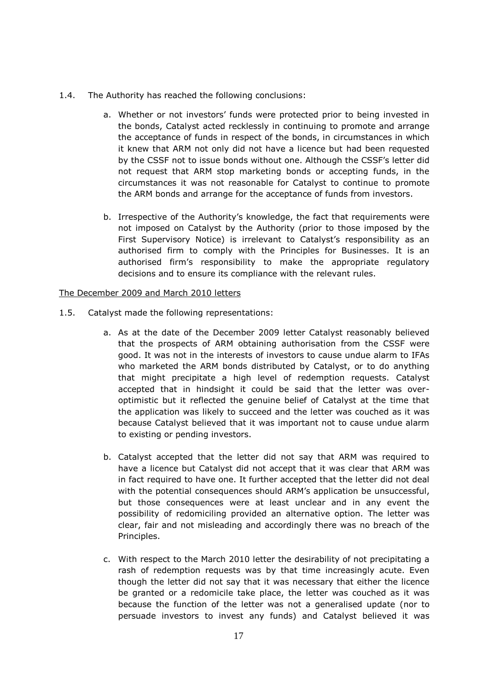- 1.4. The Authority has reached the following conclusions:
	- a. Whether or not investors' funds were protected prior to being invested in the bonds, Catalyst acted recklessly in continuing to promote and arrange the acceptance of funds in respect of the bonds, in circumstances in which it knew that ARM not only did not have a licence but had been requested by the CSSF not to issue bonds without one. Although the CSSF's letter did not request that ARM stop marketing bonds or accepting funds, in the circumstances it was not reasonable for Catalyst to continue to promote the ARM bonds and arrange for the acceptance of funds from investors.
	- b. Irrespective of the Authority's knowledge, the fact that requirements were not imposed on Catalyst by the Authority (prior to those imposed by the First Supervisory Notice) is irrelevant to Catalyst's responsibility as an authorised firm to comply with the Principles for Businesses. It is an authorised firm's responsibility to make the appropriate regulatory decisions and to ensure its compliance with the relevant rules.

#### The December 2009 and March 2010 letters

- 1.5. Catalyst made the following representations:
	- a. As at the date of the December 2009 letter Catalyst reasonably believed that the prospects of ARM obtaining authorisation from the CSSF were good. It was not in the interests of investors to cause undue alarm to IFAs who marketed the ARM bonds distributed by Catalyst, or to do anything that might precipitate a high level of redemption requests. Catalyst accepted that in hindsight it could be said that the letter was overoptimistic but it reflected the genuine belief of Catalyst at the time that the application was likely to succeed and the letter was couched as it was because Catalyst believed that it was important not to cause undue alarm to existing or pending investors.
	- b. Catalyst accepted that the letter did not say that ARM was required to have a licence but Catalyst did not accept that it was clear that ARM was in fact required to have one. It further accepted that the letter did not deal with the potential consequences should ARM's application be unsuccessful, but those consequences were at least unclear and in any event the possibility of redomiciling provided an alternative option. The letter was clear, fair and not misleading and accordingly there was no breach of the Principles.
	- c. With respect to the March 2010 letter the desirability of not precipitating a rash of redemption requests was by that time increasingly acute. Even though the letter did not say that it was necessary that either the licence be granted or a redomicile take place, the letter was couched as it was because the function of the letter was not a generalised update (nor to persuade investors to invest any funds) and Catalyst believed it was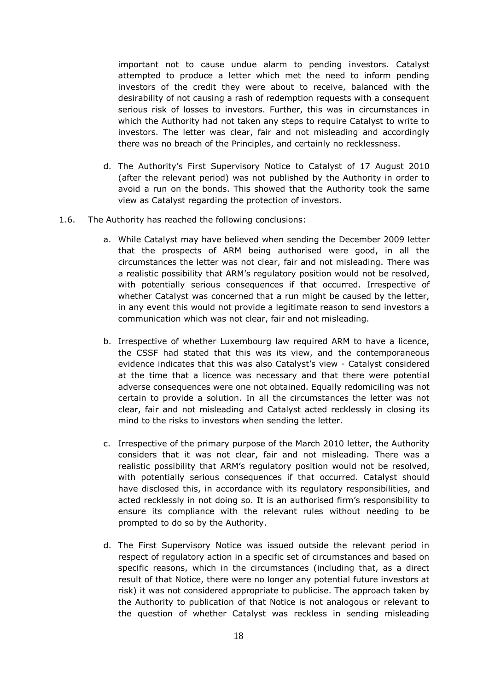important not to cause undue alarm to pending investors. Catalyst attempted to produce a letter which met the need to inform pending investors of the credit they were about to receive, balanced with the desirability of not causing a rash of redemption requests with a consequent serious risk of losses to investors. Further, this was in circumstances in which the Authority had not taken any steps to require Catalyst to write to investors. The letter was clear, fair and not misleading and accordingly there was no breach of the Principles, and certainly no recklessness.

- d. The Authority's First Supervisory Notice to Catalyst of 17 August 2010 (after the relevant period) was not published by the Authority in order to avoid a run on the bonds. This showed that the Authority took the same view as Catalyst regarding the protection of investors.
- 1.6. The Authority has reached the following conclusions:
	- a. While Catalyst may have believed when sending the December 2009 letter that the prospects of ARM being authorised were good, in all the circumstances the letter was not clear, fair and not misleading. There was a realistic possibility that ARM's regulatory position would not be resolved, with potentially serious consequences if that occurred. Irrespective of whether Catalyst was concerned that a run might be caused by the letter, in any event this would not provide a legitimate reason to send investors a communication which was not clear, fair and not misleading.
	- b. Irrespective of whether Luxembourg law required ARM to have a licence, the CSSF had stated that this was its view, and the contemporaneous evidence indicates that this was also Catalyst's view - Catalyst considered at the time that a licence was necessary and that there were potential adverse consequences were one not obtained. Equally redomiciling was not certain to provide a solution. In all the circumstances the letter was not clear, fair and not misleading and Catalyst acted recklessly in closing its mind to the risks to investors when sending the letter.
	- c. Irrespective of the primary purpose of the March 2010 letter, the Authority considers that it was not clear, fair and not misleading. There was a realistic possibility that ARM's regulatory position would not be resolved, with potentially serious consequences if that occurred. Catalyst should have disclosed this, in accordance with its regulatory responsibilities, and acted recklessly in not doing so. It is an authorised firm's responsibility to ensure its compliance with the relevant rules without needing to be prompted to do so by the Authority.
	- d. The First Supervisory Notice was issued outside the relevant period in respect of regulatory action in a specific set of circumstances and based on specific reasons, which in the circumstances (including that, as a direct result of that Notice, there were no longer any potential future investors at risk) it was not considered appropriate to publicise. The approach taken by the Authority to publication of that Notice is not analogous or relevant to the question of whether Catalyst was reckless in sending misleading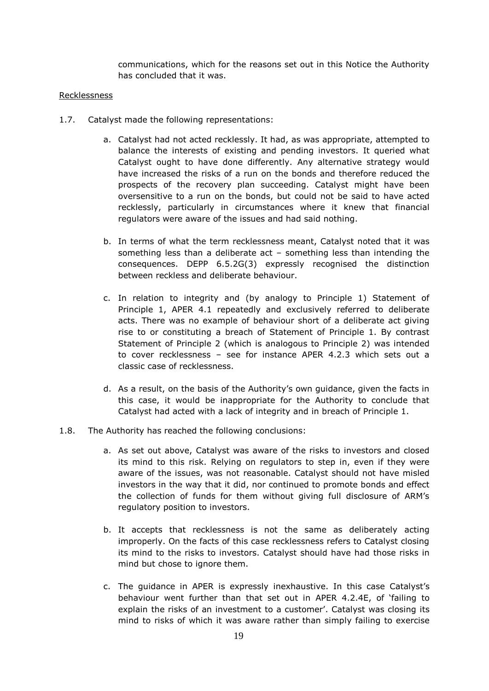communications, which for the reasons set out in this Notice the Authority has concluded that it was.

## Recklessness

- 1.7. Catalyst made the following representations:
	- a. Catalyst had not acted recklessly. It had, as was appropriate, attempted to balance the interests of existing and pending investors. It queried what Catalyst ought to have done differently. Any alternative strategy would have increased the risks of a run on the bonds and therefore reduced the prospects of the recovery plan succeeding. Catalyst might have been oversensitive to a run on the bonds, but could not be said to have acted recklessly, particularly in circumstances where it knew that financial regulators were aware of the issues and had said nothing.
	- b. In terms of what the term recklessness meant, Catalyst noted that it was something less than a deliberate act – something less than intending the consequences. DEPP 6.5.2G(3) expressly recognised the distinction between reckless and deliberate behaviour.
	- c. In relation to integrity and (by analogy to Principle 1) Statement of Principle 1, APER 4.1 repeatedly and exclusively referred to deliberate acts. There was no example of behaviour short of a deliberate act giving rise to or constituting a breach of Statement of Principle 1. By contrast Statement of Principle 2 (which is analogous to Principle 2) was intended to cover recklessness – see for instance APER 4.2.3 which sets out a classic case of recklessness.
	- d. As a result, on the basis of the Authority's own guidance, given the facts in this case, it would be inappropriate for the Authority to conclude that Catalyst had acted with a lack of integrity and in breach of Principle 1.
- 1.8. The Authority has reached the following conclusions:
	- a. As set out above, Catalyst was aware of the risks to investors and closed its mind to this risk. Relying on regulators to step in, even if they were aware of the issues, was not reasonable. Catalyst should not have misled investors in the way that it did, nor continued to promote bonds and effect the collection of funds for them without giving full disclosure of ARM's regulatory position to investors.
	- b. It accepts that recklessness is not the same as deliberately acting improperly. On the facts of this case recklessness refers to Catalyst closing its mind to the risks to investors. Catalyst should have had those risks in mind but chose to ignore them.
	- c. The guidance in APER is expressly inexhaustive. In this case Catalyst's behaviour went further than that set out in APER 4.2.4E, of 'failing to explain the risks of an investment to a customer'. Catalyst was closing its mind to risks of which it was aware rather than simply failing to exercise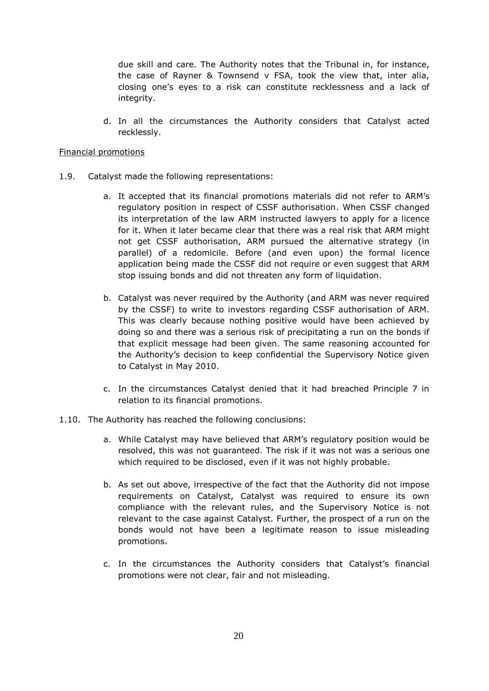due skill and care. The Authority notes that the Tribunal in, for instance, the case of Rayner & Townsend v FSA, took the view that, inter alia, closing one's eyes to a risk can constitute recklessness and a lack of integrity.

d. In all the circumstances the Authority considers that Catalyst acted recklessly.

## Financial promotions

- 1.9. Catalyst made the following representations:
	- a. It accepted that its financial promotions materials did not refer to ARM's regulatory position in respect of CSSF authorisation. When CSSF changed its interpretation of the law ARM instructed lawyers to apply for a licence for it. When it later became clear that there was a real risk that ARM might not get CSSF authorisation, ARM pursued the alternative strategy (in parallel) of a redomicile. Before (and even upon) the formal licence application being made the CSSF did not require or even suggest that ARM stop issuing bonds and did not threaten any form of liquidation.
	- b. Catalyst was never required by the Authority (and ARM was never required by the CSSF) to write to investors regarding CSSF authorisation of ARM. This was clearly because nothing positive would have been achieved by doing so and there was a serious risk of precipitating a run on the bonds if that explicit message had been given. The same reasoning accounted for the Authority's decision to keep confidential the Supervisory Notice given to Catalyst in May 2010.
	- c. In the circumstances Catalyst denied that it had breached Principle 7 in relation to its financial promotions.
- 1.10. The Authority has reached the following conclusions:
	- a. While Catalyst may have believed that ARM's regulatory position would be resolved, this was not guaranteed. The risk if it was not was a serious one which required to be disclosed, even if it was not highly probable.
	- b. As set out above, irrespective of the fact that the Authority did not impose requirements on Catalyst, Catalyst was required to ensure its own compliance with the relevant rules, and the Supervisory Notice is not relevant to the case against Catalyst. Further, the prospect of a run on the bonds would not have been a legitimate reason to issue misleading promotions.
	- c. In the circumstances the Authority considers that Catalyst's financial promotions were not clear, fair and not misleading.